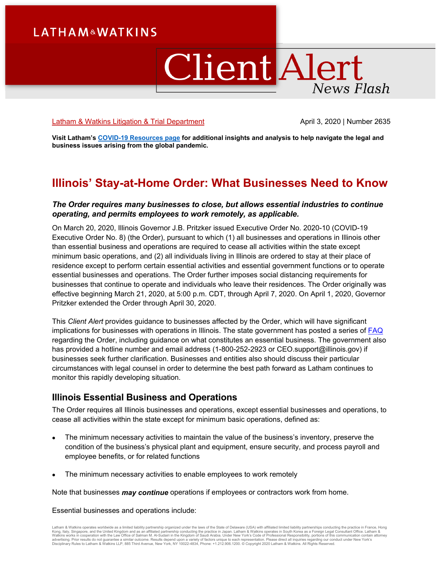# **LATHAM&WATKINS**

# ClientAlert News Flash

#### [Latham & Watkins Litigation & Trial Department](https://www.lw.com/practices/LitigationandTrialPractice) April 3, 2020 | Number 2635

**Visit Latham'[s COVID-19 Resources page](https://www.lw.com/covid-19) for additional insights and analysis to help navigate the legal and business issues arising from the global pandemic.** 

# **Illinois' Stay-at-Home Order: What Businesses Need to Know**

#### *The Order requires many businesses to close, but allows essential industries to continue operating, and permits employees to work remotely, as applicable.*

On March 20, 2020, Illinois Governor J.B. Pritzker issued Executive Order No. 2020-10 (COVID-19 Executive Order No. 8) (the Order), pursuant to which (1) all businesses and operations in Illinois other than essential business and operations are required to cease all activities within the state except minimum basic operations, and (2) all individuals living in Illinois are ordered to stay at their place of residence except to perform certain essential activities and essential government functions or to operate essential businesses and operations. The Order further imposes social distancing requirements for businesses that continue to operate and individuals who leave their residences. The Order originally was effective beginning March 21, 2020, at 5:00 p.m. CDT, through April 7, 2020. On April 1, 2020, Governor Pritzker extended the Order through April 30, 2020.

This *Client Alert* provides guidance to businesses affected by the Order, which will have significant implications for businesses with operations in Illinois. The state government has posted a series of [FAQ](https://www2.illinois.gov/dceo/Documents/Essential%20Business%20FAQ.pdf) regarding the Order, including guidance on what constitutes an essential business. The government also has provided a hotline number and email address (1-800-252-2923 or CEO.support@illinois.gov) if businesses seek further clarification. Businesses and entities also should discuss their particular circumstances with legal counsel in order to determine the best path forward as Latham continues to monitor this rapidly developing situation.

# **Illinois Essential Business and Operations**

The Order requires all Illinois businesses and operations, except essential businesses and operations, to cease all activities within the state except for minimum basic operations, defined as:

- The minimum necessary activities to maintain the value of the business's inventory, preserve the condition of the business's physical plant and equipment, ensure security, and process payroll and employee benefits, or for related functions
- The minimum necessary activities to enable employees to work remotely

Note that businesses *may continue* operations if employees or contractors work from home.

Essential businesses and operations include:

Latham & Watkins operates worldwide as a limited liability partnership organized under the laws of the State of Delaware (USA) with affiliated limited liability partnerships conducting the practice in France, Hong<br>Kong, It Disciplinary Rules to Latham & Watkins LLP, 885 Third Avenue, New York, NY 10022-4834, Phone: +1.212.906.1200. © Copyright 2020 Latham & Watkins. All Rights Reserved.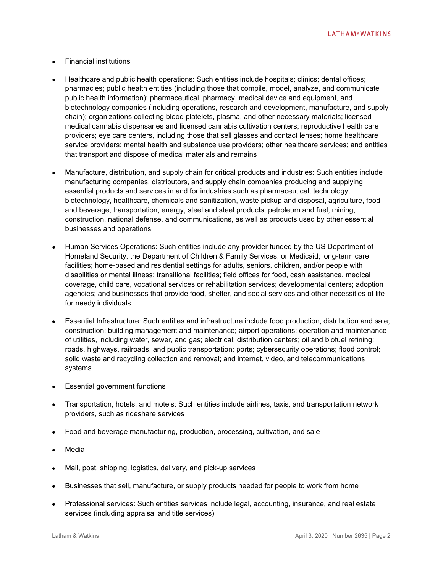**LATHAM&WATKINS** 

- Financial institutions
- Healthcare and public health operations: Such entities include hospitals; clinics; dental offices; pharmacies; public health entities (including those that compile, model, analyze, and communicate public health information); pharmaceutical, pharmacy, medical device and equipment, and biotechnology companies (including operations, research and development, manufacture, and supply chain); organizations collecting blood platelets, plasma, and other necessary materials; licensed medical cannabis dispensaries and licensed cannabis cultivation centers; reproductive health care providers; eye care centers, including those that sell glasses and contact lenses; home healthcare service providers; mental health and substance use providers; other healthcare services; and entities that transport and dispose of medical materials and remains
- Manufacture, distribution, and supply chain for critical products and industries: Such entities include manufacturing companies, distributors, and supply chain companies producing and supplying essential products and services in and for industries such as pharmaceutical, technology, biotechnology, healthcare, chemicals and sanitization, waste pickup and disposal, agriculture, food and beverage, transportation, energy, steel and steel products, petroleum and fuel, mining, construction, national defense, and communications, as well as products used by other essential businesses and operations
- Human Services Operations: Such entities include any provider funded by the US Department of Homeland Security, the Department of Children & Family Services, or Medicaid; long-term care facilities; home-based and residential settings for adults, seniors, children, and/or people with disabilities or mental illness; transitional facilities; field offices for food, cash assistance, medical coverage, child care, vocational services or rehabilitation services; developmental centers; adoption agencies; and businesses that provide food, shelter, and social services and other necessities of life for needy individuals
- Essential Infrastructure: Such entities and infrastructure include food production, distribution and sale; construction; building management and maintenance; airport operations; operation and maintenance of utilities, including water, sewer, and gas; electrical; distribution centers; oil and biofuel refining; roads, highways, railroads, and public transportation; ports; cybersecurity operations; flood control; solid waste and recycling collection and removal; and internet, video, and telecommunications systems
- Essential government functions
- Transportation, hotels, and motels: Such entities include airlines, taxis, and transportation network providers, such as rideshare services
- Food and beverage manufacturing, production, processing, cultivation, and sale
- **Media**
- Mail, post, shipping, logistics, delivery, and pick-up services
- Businesses that sell, manufacture, or supply products needed for people to work from home
- Professional services: Such entities services include legal, accounting, insurance, and real estate services (including appraisal and title services)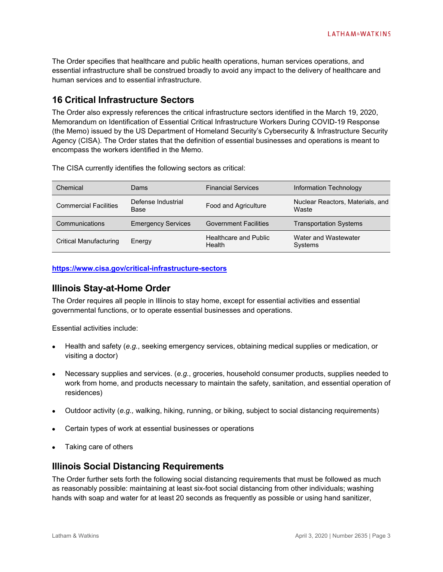The Order specifies that healthcare and public health operations, human services operations, and essential infrastructure shall be construed broadly to avoid any impact to the delivery of healthcare and human services and to essential infrastructure.

# **16 Critical Infrastructure Sectors**

The Order also expressly references the critical infrastructure sectors identified in the March 19, 2020, Memorandum on Identification of Essential Critical Infrastructure Workers During COVID-19 Response (the Memo) issued by the US Department of Homeland Security's Cybersecurity & Infrastructure Security Agency (CISA). The Order states that the definition of essential businesses and operations is meant to encompass the workers identified in the Memo.

The CISA currently identifies the following sectors as critical:

| Chemical                     | Dams                       | <b>Financial Services</b>       | Information Technology                    |
|------------------------------|----------------------------|---------------------------------|-------------------------------------------|
| <b>Commercial Facilities</b> | Defense Industrial<br>Base | Food and Agriculture            | Nuclear Reactors, Materials, and<br>Waste |
| Communications               | <b>Emergency Services</b>  | <b>Government Facilities</b>    | <b>Transportation Systems</b>             |
| Critical Manufacturing       | Energy                     | Healthcare and Public<br>Health | Water and Wastewater<br>Systems           |

**<https://www.cisa.gov/critical-infrastructure-sectors>**

# **Illinois Stay-at-Home Order**

The Order requires all people in Illinois to stay home, except for essential activities and essential governmental functions, or to operate essential businesses and operations.

Essential activities include:

- Health and safety (*e.g.*, seeking emergency services, obtaining medical supplies or medication, or visiting a doctor)
- Necessary supplies and services. (*e.g.*, groceries, household consumer products, supplies needed to work from home, and products necessary to maintain the safety, sanitation, and essential operation of residences)
- Outdoor activity (*e.g.,* walking, hiking, running, or biking, subject to social distancing requirements)
- Certain types of work at essential businesses or operations
- Taking care of others

## **Illinois Social Distancing Requirements**

The Order further sets forth the following social distancing requirements that must be followed as much as reasonably possible: maintaining at least six-foot social distancing from other individuals; washing hands with soap and water for at least 20 seconds as frequently as possible or using hand sanitizer,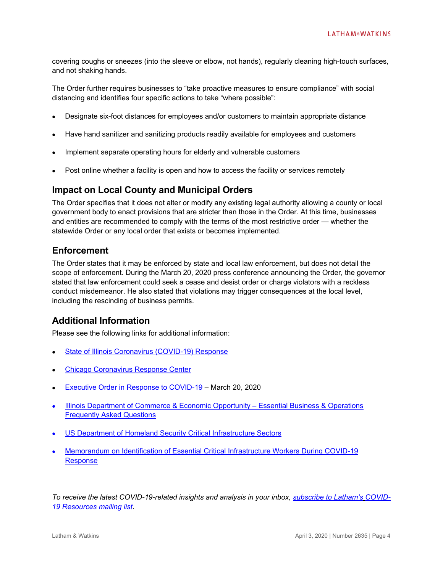covering coughs or sneezes (into the sleeve or elbow, not hands), regularly cleaning high-touch surfaces, and not shaking hands.

The Order further requires businesses to "take proactive measures to ensure compliance" with social distancing and identifies four specific actions to take "where possible":

- Designate six-foot distances for employees and/or customers to maintain appropriate distance
- Have hand sanitizer and sanitizing products readily available for employees and customers
- Implement separate operating hours for elderly and vulnerable customers
- Post online whether a facility is open and how to access the facility or services remotely

## **Impact on Local County and Municipal Orders**

The Order specifies that it does not alter or modify any existing legal authority allowing a county or local government body to enact provisions that are stricter than those in the Order. At this time, businesses and entities are recommended to comply with the terms of the most restrictive order — whether the statewide Order or any local order that exists or becomes implemented.

## **Enforcement**

The Order states that it may be enforced by state and local law enforcement, but does not detail the scope of enforcement. During the March 20, 2020 press conference announcing the Order, the governor stated that law enforcement could seek a cease and desist order or charge violators with a reckless conduct misdemeanor. He also stated that violations may trigger consequences at the local level, including the rescinding of business permits.

## **Additional Information**

Please see the following links for additional information:

- [State of Illinois Coronavirus \(COVID-19\) Response](https://www2.illinois.gov/sites/coronavirus/Pages/default.aspx)
- [Chicago Coronavirus Response Center](https://www.chicago.gov/city/en/sites/covid-19/home.html)
- [Executive Order in Response to COVID-19](https://www2.illinois.gov/Documents/ExecOrders/2020/ExecutiveOrder-2020-10.pdf) March 20, 2020
- **Illinois Department of Commerce & Economic Opportunity Essential Business & Operations** [Frequently Asked Questions](https://www2.illinois.gov/dceo/Documents/Essential%20Business%20FAQ.pdf)
- [US Department of Homeland Security Critical Infrastructure Sectors](https://www2.illinois.gov/dceo/Documents/Essential%20Business%20FAQ.pdf)
- Memorandum on Identification of Essential Critical Infrastructure Workers During COVID-19 Response

*To receive the latest COVID-19-related insights and analysis in your inbox, [subscribe to Latham's](https://www.sites.lwcommunicate.com/5/2399/forms-other/covid-19.asp) [COVID-](https://www.sites.lwcommunicate.com/5/2399/forms-other/covid-19.asp)[19 Resources mailing list.](https://www.sites.lwcommunicate.com/5/2399/forms-other/covid-19.asp)*